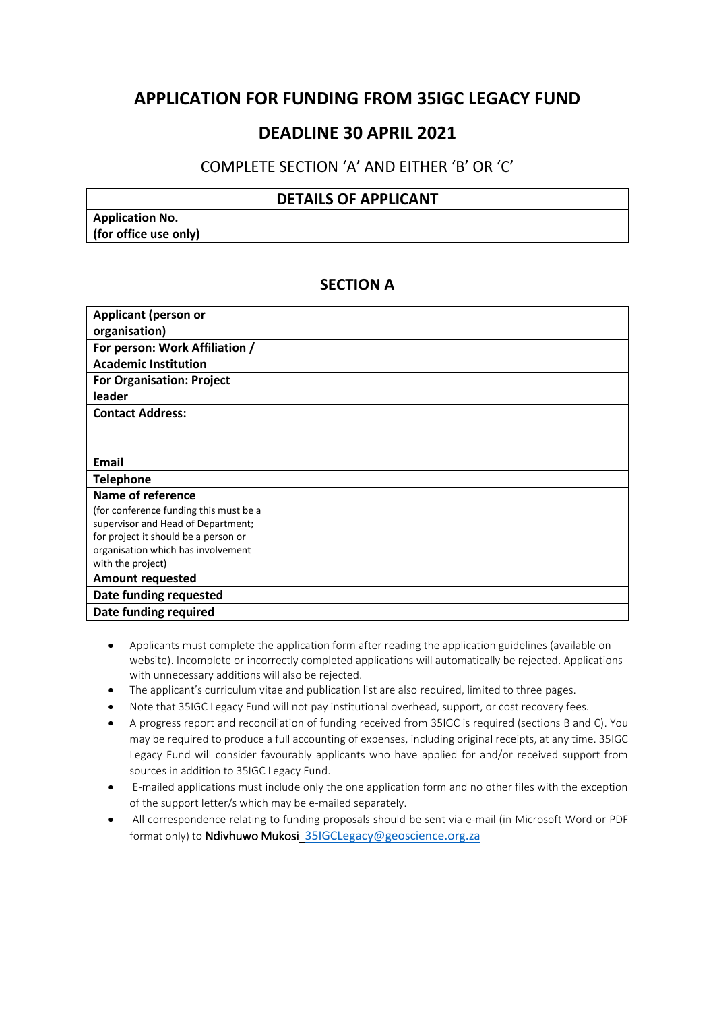## **APPLICATION FOR FUNDING FROM 35IGC LEGACY FUND**

## **DEADLINE 30 APRIL 2021**

#### COMPLETE SECTION 'A' AND EITHER 'B' OR 'C'

#### **DETAILS OF APPLICANT**

**Application No. (for office use only)**

#### **SECTION A**

| <b>Applicant (person or</b>            |  |
|----------------------------------------|--|
| organisation)                          |  |
| For person: Work Affiliation /         |  |
| <b>Academic Institution</b>            |  |
| <b>For Organisation: Project</b>       |  |
| leader                                 |  |
| <b>Contact Address:</b>                |  |
|                                        |  |
|                                        |  |
| Email                                  |  |
| <b>Telephone</b>                       |  |
| Name of reference                      |  |
| (for conference funding this must be a |  |
| supervisor and Head of Department;     |  |
| for project it should be a person or   |  |
| organisation which has involvement     |  |
| with the project)                      |  |
| <b>Amount requested</b>                |  |
| Date funding requested                 |  |
| Date funding required                  |  |

- Applicants must complete the application form after reading the application guidelines (available on website). Incomplete or incorrectly completed applications will automatically be rejected. Applications with unnecessary additions will also be rejected.
- The applicant's curriculum vitae and publication list are also required, limited to three pages.
- Note that 35IGC Legacy Fund will not pay institutional overhead, support, or cost recovery fees.
- A progress report and reconciliation of funding received from 35IGC is required (sections B and C). You may be required to produce a full accounting of expenses, including original receipts, at any time. 35IGC Legacy Fund will consider favourably applicants who have applied for and/or received support from sources in addition to 35IGC Legacy Fund.
- E-mailed applications must include only the one application form and no other files with the exception of the support letter/s which may be e-mailed separately.
- All correspondence relating to funding proposals should be sent via e-mail (in Microsoft Word or PDF format only) to Ndivhuwo Mukosi [35IGCLegacy@geoscience.org.za](mailto:35IGCLegacy@geoscience.org.za)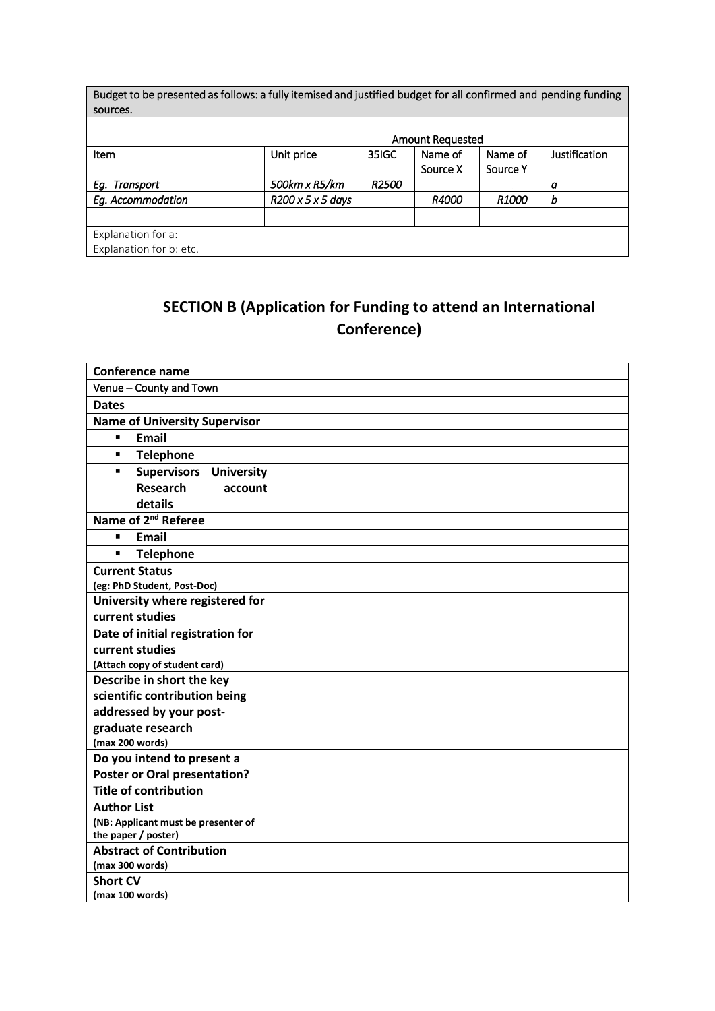| Budget to be presented as follows: a fully itemised and justified budget for all confirmed and pending funding |                               |                         |              |              |               |
|----------------------------------------------------------------------------------------------------------------|-------------------------------|-------------------------|--------------|--------------|---------------|
| sources.                                                                                                       |                               |                         |              |              |               |
|                                                                                                                |                               |                         |              |              |               |
|                                                                                                                |                               | <b>Amount Requested</b> |              |              |               |
| Item                                                                                                           | Unit price                    | 35IGC                   | Name of      | Name of      | Justification |
|                                                                                                                |                               |                         | Source X     | Source Y     |               |
| Eg. Transport                                                                                                  | 500km x R5/km                 | <b>R2500</b>            |              |              | a             |
| Eg. Accommodation                                                                                              | $R200 \times 5 \times 5$ days |                         | <b>R4000</b> | <i>R1000</i> | b             |
|                                                                                                                |                               |                         |              |              |               |
| Explanation for a:                                                                                             |                               |                         |              |              |               |
| Explanation for b: etc.                                                                                        |                               |                         |              |              |               |

## **SECTION B (Application for Funding to attend an International Conference)**

| Conference name                                            |  |
|------------------------------------------------------------|--|
| Venue - County and Town                                    |  |
| <b>Dates</b>                                               |  |
| <b>Name of University Supervisor</b>                       |  |
| <b>Email</b><br>$\blacksquare$                             |  |
| $\blacksquare$<br><b>Telephone</b>                         |  |
| <b>Supervisors University</b><br>$\blacksquare$            |  |
| <b>Research</b><br>account                                 |  |
| details                                                    |  |
| Name of 2 <sup>nd</sup> Referee                            |  |
| $\blacksquare$<br><b>Email</b>                             |  |
| <b>Telephone</b><br>Ξ                                      |  |
| <b>Current Status</b>                                      |  |
| (eg: PhD Student, Post-Doc)                                |  |
| University where registered for                            |  |
| current studies                                            |  |
| Date of initial registration for                           |  |
| current studies                                            |  |
| (Attach copy of student card)                              |  |
| Describe in short the key                                  |  |
| scientific contribution being                              |  |
| addressed by your post-                                    |  |
| graduate research                                          |  |
| (max 200 words)                                            |  |
| Do you intend to present a                                 |  |
| <b>Poster or Oral presentation?</b>                        |  |
| <b>Title of contribution</b>                               |  |
| <b>Author List</b>                                         |  |
| (NB: Applicant must be presenter of<br>the paper / poster) |  |
| <b>Abstract of Contribution</b>                            |  |
| (max 300 words)                                            |  |
| <b>Short CV</b>                                            |  |
| (max 100 words)                                            |  |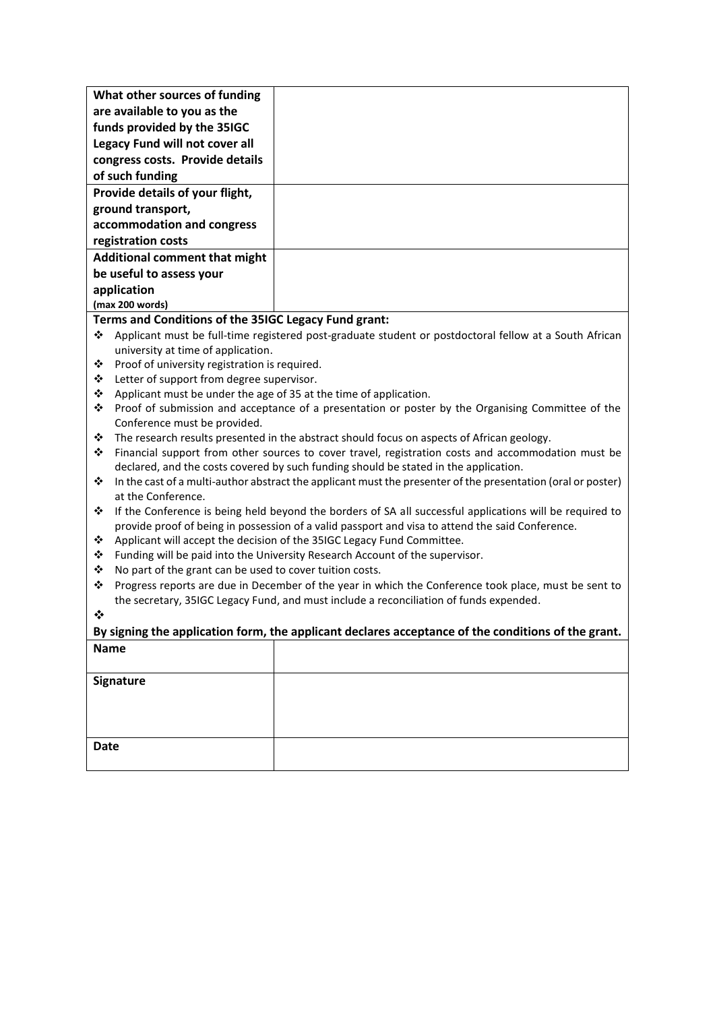| What other sources of funding                        |  |
|------------------------------------------------------|--|
| are available to you as the                          |  |
| funds provided by the 35IGC                          |  |
| Legacy Fund will not cover all                       |  |
| congress costs. Provide details                      |  |
| of such funding                                      |  |
| Provide details of your flight,                      |  |
| ground transport,                                    |  |
| accommodation and congress                           |  |
| registration costs                                   |  |
| <b>Additional comment that might</b>                 |  |
| be useful to assess your                             |  |
| application                                          |  |
| (max 200 words)                                      |  |
| Terms and Conditions of the 35IGC Legacy Fund grant: |  |

- Applicant must be full-time registered post-graduate student or postdoctoral fellow at a South African university at time of application.
- Proof of university registration is required.
- Letter of support from degree supervisor.
- $\triangleq$  Applicant must be under the age of 35 at the time of application.
- Proof of submission and acceptance of a presentation or poster by the Organising Committee of the Conference must be provided.
- $\cdot \cdot$  The research results presented in the abstract should focus on aspects of African geology.
- Financial support from other sources to cover travel, registration costs and accommodation must be declared, and the costs covered by such funding should be stated in the application.
- In the cast of a multi-author abstract the applicant must the presenter of the presentation (oral or poster) at the Conference.
- \* If the Conference is being held beyond the borders of SA all successful applications will be required to provide proof of being in possession of a valid passport and visa to attend the said Conference.
- Applicant will accept the decision of the 35IGC Legacy Fund Committee.
- \* Funding will be paid into the University Research Account of the supervisor.
- $\cdot \cdot$  No part of the grant can be used to cover tuition costs.
- \* Progress reports are due in December of the year in which the Conference took place, must be sent to the secretary, 35IGC Legacy Fund, and must include a reconciliation of funds expended.
- $\mathbf{A}$

# **By signing the application form, the applicant declares acceptance of the conditions of the grant. Name**

| Signature   |  |
|-------------|--|
|             |  |
|             |  |
| <b>Date</b> |  |
|             |  |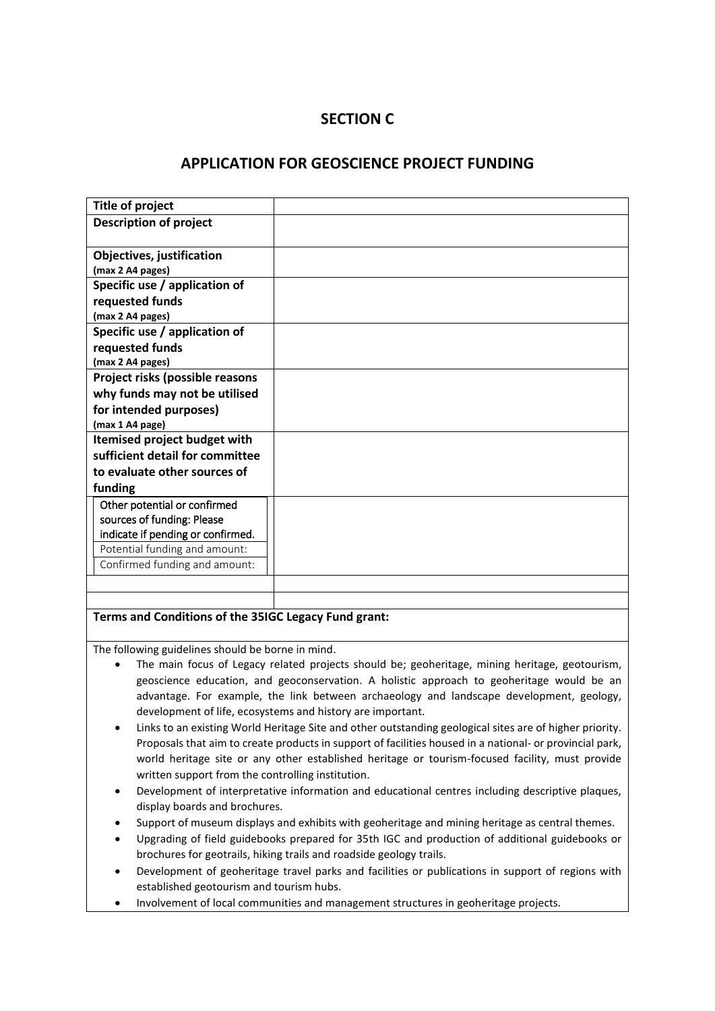### **SECTION C**

#### **APPLICATION FOR GEOSCIENCE PROJECT FUNDING**

| Title of project                  |  |
|-----------------------------------|--|
| <b>Description of project</b>     |  |
|                                   |  |
| Objectives, justification         |  |
| (max 2 A4 pages)                  |  |
| Specific use / application of     |  |
| requested funds                   |  |
| (max 2 A4 pages)                  |  |
| Specific use / application of     |  |
| requested funds                   |  |
| (max 2 A4 pages)                  |  |
| Project risks (possible reasons   |  |
| why funds may not be utilised     |  |
| for intended purposes)            |  |
| (max 1 A4 page)                   |  |
| Itemised project budget with      |  |
| sufficient detail for committee   |  |
| to evaluate other sources of      |  |
| funding                           |  |
| Other potential or confirmed      |  |
| sources of funding: Please        |  |
| indicate if pending or confirmed. |  |
| Potential funding and amount:     |  |
| Confirmed funding and amount:     |  |
|                                   |  |
|                                   |  |

#### **Terms and Conditions of the 35IGC Legacy Fund grant:**

The following guidelines should be borne in mind.

- The main focus of Legacy related projects should be; geoheritage, mining heritage, geotourism, geoscience education, and geoconservation. A holistic approach to geoheritage would be an advantage. For example, the link between archaeology and landscape development, geology, development of life, ecosystems and history are important.
- Links to an existing World Heritage Site and other outstanding geological sites are of higher priority. Proposals that aim to create products in support of facilities housed in a national- or provincial park, world heritage site or any other established heritage or tourism-focused facility, must provide written support from the controlling institution.
- Development of interpretative information and educational centres including descriptive plaques, display boards and brochures.
- Support of museum displays and exhibits with geoheritage and mining heritage as central themes.
- Upgrading of field guidebooks prepared for 35th IGC and production of additional guidebooks or brochures for geotrails, hiking trails and roadside geology trails.
- Development of geoheritage travel parks and facilities or publications in support of regions with established geotourism and tourism hubs.
- Involvement of local communities and management structures in geoheritage projects.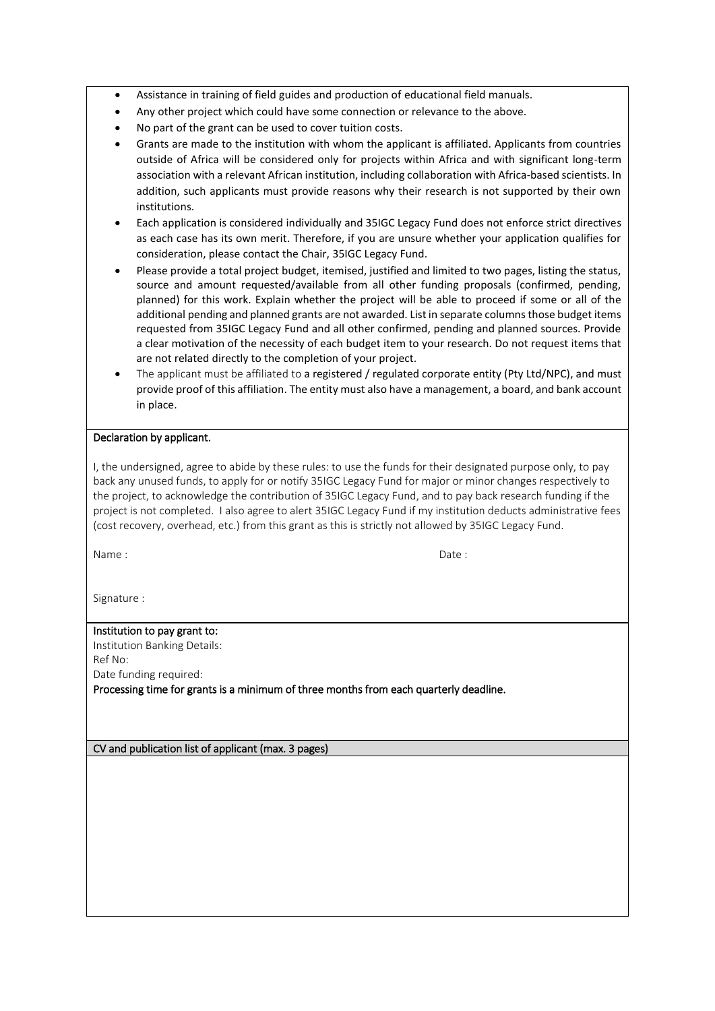- Assistance in training of field guides and production of educational field manuals.
- Any other project which could have some connection or relevance to the above.
- No part of the grant can be used to cover tuition costs.
- Grants are made to the institution with whom the applicant is affiliated. Applicants from countries outside of Africa will be considered only for projects within Africa and with significant long-term association with a relevant African institution, including collaboration with Africa-based scientists. In addition, such applicants must provide reasons why their research is not supported by their own institutions.
- Each application is considered individually and 35IGC Legacy Fund does not enforce strict directives as each case has its own merit. Therefore, if you are unsure whether your application qualifies for consideration, please contact the Chair, 35IGC Legacy Fund.
- Please provide a total project budget, itemised, justified and limited to two pages, listing the status, source and amount requested/available from all other funding proposals (confirmed, pending, planned) for this work. Explain whether the project will be able to proceed if some or all of the additional pending and planned grants are not awarded. List in separate columns those budget items requested from 35IGC Legacy Fund and all other confirmed, pending and planned sources. Provide a clear motivation of the necessity of each budget item to your research. Do not request items that are not related directly to the completion of your project.
- The applicant must be affiliated to a registered / regulated corporate entity (Pty Ltd/NPC), and must provide proof of this affiliation. The entity must also have a management, a board, and bank account in place.

#### Declaration by applicant.

I, the undersigned, agree to abide by these rules: to use the funds for their designated purpose only, to pay back any unused funds, to apply for or notify 35IGC Legacy Fund for major or minor changes respectively to the project, to acknowledge the contribution of 35IGC Legacy Fund, and to pay back research funding if the project is not completed. I also agree to alert 35IGC Legacy Fund if my institution deducts administrative fees (cost recovery, overhead, etc.) from this grant as this is strictly not allowed by 35IGC Legacy Fund.

Name :  $\qquad \qquad$  Date :

Signature :

## Institution to pay grant to:

Institution Banking Details: Ref No: Date funding required:

Processing time for grants is a minimum of three months from each quarterly deadline.

CV and publication list of applicant (max. 3 pages)